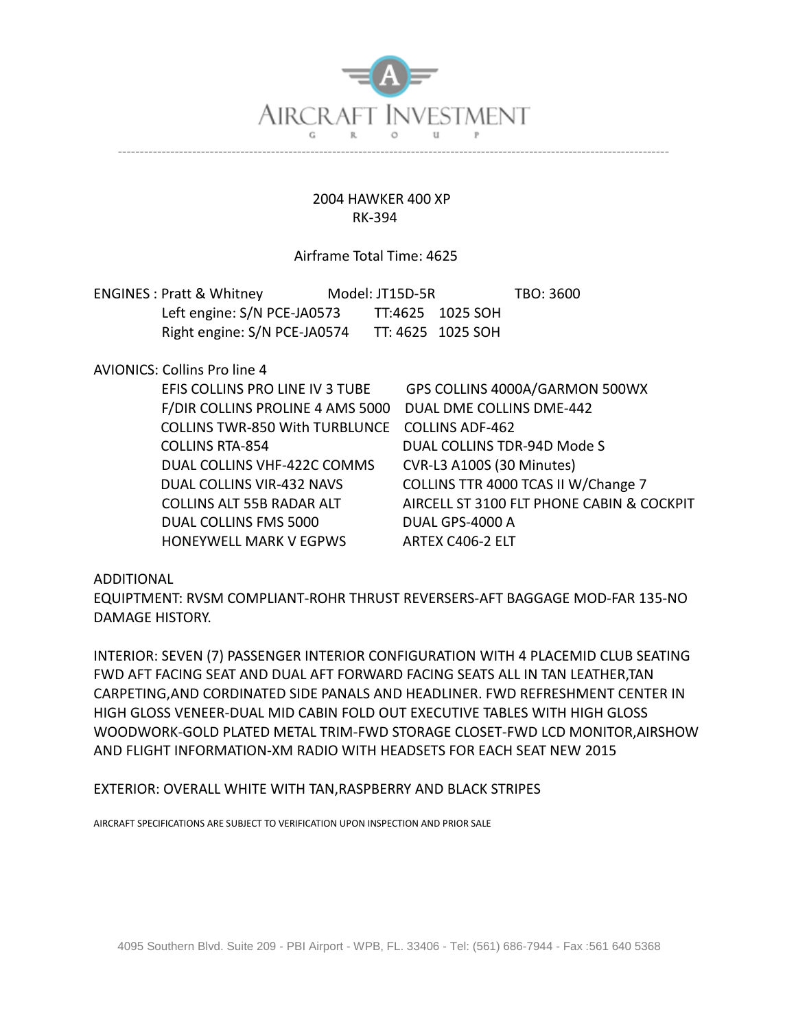

## 2004 HAWKER 400 XP RK-394

## Airframe Total Time: 4625

| <b>ENGINES: Pratt &amp; Whitney</b> | Model: JT15D-5R |                   | TBO: 3600 |
|-------------------------------------|-----------------|-------------------|-----------|
| Left engine: S/N PCE-JA0573         |                 | TT:4625 1025 SOH  |           |
| Right engine: S/N PCE-JA0574        |                 | TT: 4625 1025 SOH |           |

## AVIONICS: Collins Pro line 4

| EFIS COLLINS PRO LINE IV 3 TUBE       | GPS COLLINS 4000A/GARMON 500WX            |
|---------------------------------------|-------------------------------------------|
| F/DIR COLLINS PROLINE 4 AMS 5000      | DUAL DME COLLINS DME-442                  |
| <b>COLLINS TWR-850 With TURBLUNCE</b> | <b>COLLINS ADF-462</b>                    |
| <b>COLLINS RTA-854</b>                | DUAL COLLINS TDR-94D Mode S               |
| DUAL COLLINS VHF-422C COMMS           | CVR-L3 A100S (30 Minutes)                 |
| DUAL COLLINS VIR-432 NAVS             | COLLINS TTR 4000 TCAS II W/Change 7       |
| <b>COLLINS ALT 55B RADAR ALT</b>      | AIRCELL ST 3100 FLT PHONE CABIN & COCKPIT |
| DUAL COLLINS FMS 5000                 | DUAL GPS-4000 A                           |
| HONEYWELL MARK V EGPWS                | ARTEX C406-2 ELT                          |

## ADDITIONAL

EQUIPTMENT: RVSM COMPLIANT-ROHR THRUST REVERSERS-AFT BAGGAGE MOD-FAR 135-NO DAMAGE HISTORY.

INTERIOR: SEVEN (7) PASSENGER INTERIOR CONFIGURATION WITH 4 PLACEMID CLUB SEATING FWD AFT FACING SEAT AND DUAL AFT FORWARD FACING SEATS ALL IN TAN LEATHER,TAN CARPETING,AND CORDINATED SIDE PANALS AND HEADLINER. FWD REFRESHMENT CENTER IN HIGH GLOSS VENEER-DUAL MID CABIN FOLD OUT EXECUTIVE TABLES WITH HIGH GLOSS WOODWORK-GOLD PLATED METAL TRIM-FWD STORAGE CLOSET-FWD LCD MONITOR,AIRSHOW AND FLIGHT INFORMATION-XM RADIO WITH HEADSETS FOR EACH SEAT NEW 2015

EXTERIOR: OVERALL WHITE WITH TAN,RASPBERRY AND BLACK STRIPES

AIRCRAFT SPECIFICATIONS ARE SUBJECT TO VERIFICATION UPON INSPECTION AND PRIOR SALE